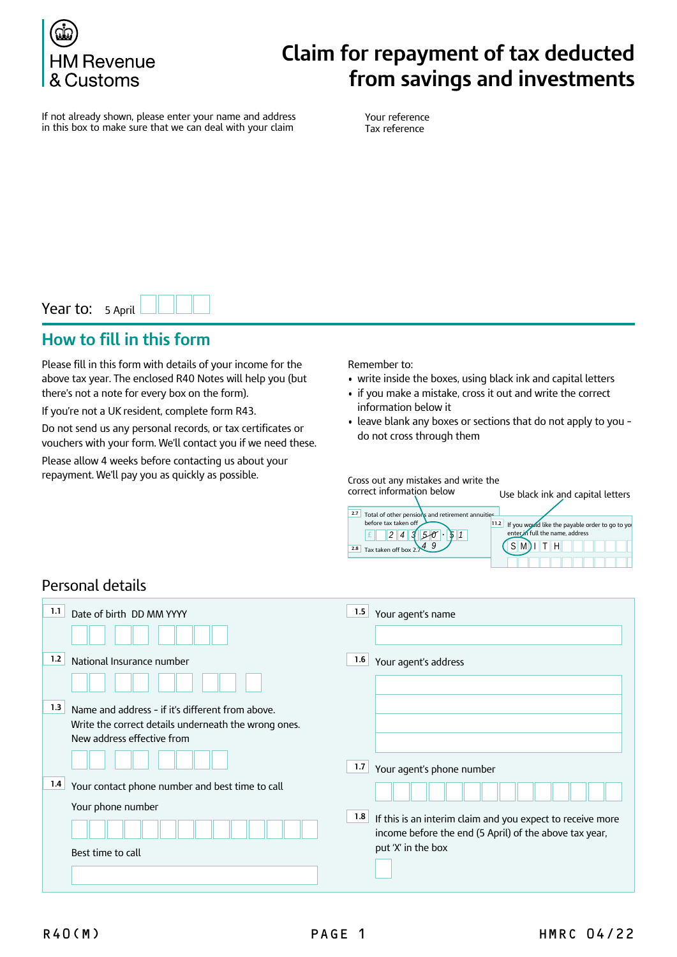

# **Claim for repayment of tax deducted from savings and investments**

If not already shown, please enter your name and address Your reference in this box to make sure that we can deal with your claim in this box to make sure that we can deal with your claim

Year to: 5 April

#### **How to fill in this form**

Please fill in this form with details of your income for the above tax year. The enclosed R40 Notes will help you (but there's not a note for every box on the form).

If you're not a UK resident, complete form R43.

Do not send us any personal records, or tax certificates or vouchers with your form. We'll contact you if we need these.

Please allow 4 weeks before contacting us about your repayment. We'll pay you as quickly as possible.

Remember to:

- write inside the boxes, using black ink and capital letters
- if you make a mistake, cross it out and write the correct information below it
- leave blank any boxes or sections that do not apply to you do not cross through them

Cross out any mistakes and write the

| correct information below | Use black ink and capital letters |
|---------------------------|-----------------------------------|
|---------------------------|-----------------------------------|

| 2.7<br>Total of other pensions and retirement annuities |                                                         |
|---------------------------------------------------------|---------------------------------------------------------|
| before tax taken off                                    | 11.2<br>If you would like the payable order to go to yo |
|                                                         | enter in full the name, address                         |
| 2.8<br>Tax taken off box 2.7                            |                                                         |
|                                                         |                                                         |

#### Personal details

| 1.1        | Date of birth DD MM YYYY                                                                                                                                                                                                            | 1.5<br>Your agent's name                                                                                                                                                              |  |
|------------|-------------------------------------------------------------------------------------------------------------------------------------------------------------------------------------------------------------------------------------|---------------------------------------------------------------------------------------------------------------------------------------------------------------------------------------|--|
| 1.2        | National Insurance number                                                                                                                                                                                                           | 1.6<br>Your agent's address                                                                                                                                                           |  |
| 1.3<br>1.4 | Name and address - if it's different from above.<br>Write the correct details underneath the wrong ones.<br>New address effective from<br>Your contact phone number and best time to call<br>Your phone number<br>Best time to call | 1.7<br>Your agent's phone number<br>1.8<br>If this is an interim claim and you expect to receive more<br>income before the end (5 April) of the above tax year,<br>put 'X' in the box |  |
|            |                                                                                                                                                                                                                                     |                                                                                                                                                                                       |  |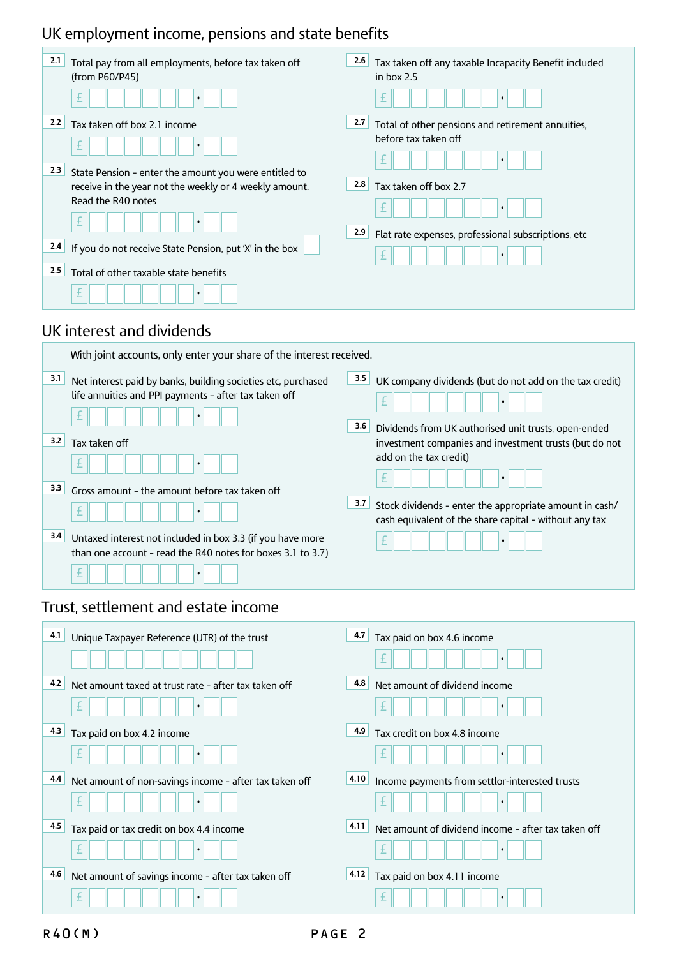### UK employment income, pensions and state benefits

| 2.1               | Total pay from all employments, before tax taken off<br>(from P60/P45)<br>t.                                                                                                                                                              | 2.6<br>Tax taken off any taxable Incapacity Benefit included<br>in box $2.5$               |
|-------------------|-------------------------------------------------------------------------------------------------------------------------------------------------------------------------------------------------------------------------------------------|--------------------------------------------------------------------------------------------|
| 2.2               | Tax taken off box 2.1 income                                                                                                                                                                                                              | 2.7<br>Total of other pensions and retirement annuities,<br>before tax taken off           |
| 2.3<br>2.4<br>2.5 | State Pension - enter the amount you were entitled to<br>receive in the year not the weekly or 4 weekly amount.<br>Read the R40 notes<br>If you do not receive State Pension, put 'X' in the box<br>Total of other taxable state benefits | 2.8<br>Tax taken off box 2.7<br>2.9<br>Flat rate expenses, professional subscriptions, etc |

#### UK interest and dividends

| With joint accounts, only enter your share of the interest received.                                                                  |                                                                                                                               |
|---------------------------------------------------------------------------------------------------------------------------------------|-------------------------------------------------------------------------------------------------------------------------------|
| 3.1<br>Net interest paid by banks, building societies etc, purchased<br>life annuities and PPI payments - after tax taken off         | 3.5<br>UK company dividends (but do not add on the tax credit)<br>3.6<br>Dividends from UK authorised unit trusts, open-ended |
| 3.2<br>Tax taken off                                                                                                                  | investment companies and investment trusts (but do not<br>add on the tax credit)                                              |
| 3.3<br>Gross amount - the amount before tax taken off                                                                                 | 3.7<br>Stock dividends - enter the appropriate amount in cash/<br>cash equivalent of the share capital - without any tax      |
| 3.4<br>Untaxed interest not included in box 3.3 (if you have more<br>than one account - read the R40 notes for boxes 3.1 to 3.7)<br>£ |                                                                                                                               |

### Trust, settlement and estate income

| 4.1                                                    | 4.7                                                 |
|--------------------------------------------------------|-----------------------------------------------------|
| Unique Taxpayer Reference (UTR) of the trust           | Tax paid on box 4.6 income                          |
| 4.2                                                    | 4.8                                                 |
| Net amount taxed at trust rate - after tax taken off   | Net amount of dividend income                       |
| 4.3                                                    | 4.9                                                 |
| Tax paid on box 4.2 income                             | Tax credit on box 4.8 income                        |
| 4.4                                                    | 4.10                                                |
| Net amount of non-savings income - after tax taken off | Income payments from settlor-interested trusts      |
| 4.5                                                    | 4.11                                                |
| Tax paid or tax credit on box 4.4 income               | Net amount of dividend income - after tax taken off |
| 4.6                                                    | 4.12                                                |
| Net amount of savings income - after tax taken off     | Tax paid on box 4.11 income                         |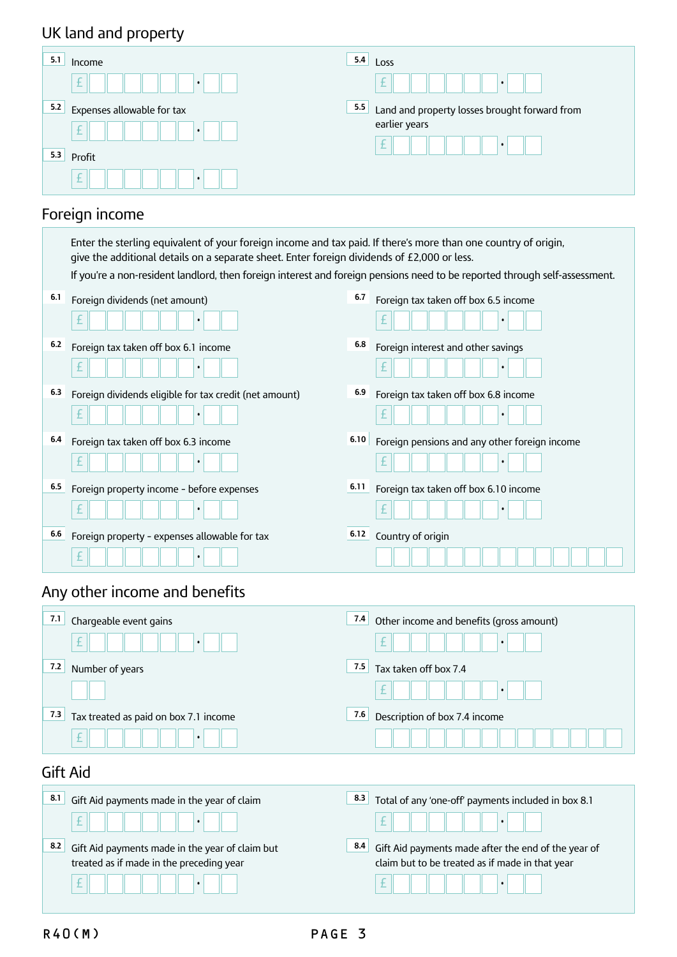### UK land and property

| 5.1<br>Income                     | 5.4<br>Loss                                          |
|-----------------------------------|------------------------------------------------------|
| ÷                                 | ÷                                                    |
| 5.2<br>Expenses allowable for tax | Land and property losses brought forward from<br>5.5 |
| ÷.                                | earlier years<br>÷                                   |
| 5.3<br>Profit                     |                                                      |
| ÷.<br>∸                           |                                                      |

### Foreign income

|     | Enter the sterling equivalent of your foreign income and tax paid. If there's more than one country of origin,<br>give the additional details on a separate sheet. Enter foreign dividends of £2,000 or less. | If you're a non-resident landlord, then foreign interest and foreign pensions need to be reported through self-assessment. |
|-----|---------------------------------------------------------------------------------------------------------------------------------------------------------------------------------------------------------------|----------------------------------------------------------------------------------------------------------------------------|
| 6.1 | Foreign dividends (net amount)                                                                                                                                                                                | 6.7<br>Foreign tax taken off box 6.5 income                                                                                |
|     |                                                                                                                                                                                                               |                                                                                                                            |
| 6.2 | Foreign tax taken off box 6.1 income                                                                                                                                                                          | 6.8<br>Foreign interest and other savings                                                                                  |
|     |                                                                                                                                                                                                               |                                                                                                                            |
| 6.3 | Foreign dividends eligible for tax credit (net amount)                                                                                                                                                        | 6.9<br>Foreign tax taken off box 6.8 income                                                                                |
|     |                                                                                                                                                                                                               |                                                                                                                            |
| 6.4 | Foreign tax taken off box 6.3 income                                                                                                                                                                          | 6.10<br>Foreign pensions and any other foreign income                                                                      |
|     |                                                                                                                                                                                                               |                                                                                                                            |
| 6.5 | Foreign property income - before expenses                                                                                                                                                                     | 6.11<br>Foreign tax taken off box 6.10 income                                                                              |
|     |                                                                                                                                                                                                               |                                                                                                                            |
| 6.6 | Foreign property - expenses allowable for tax                                                                                                                                                                 | 6.12<br>Country of origin                                                                                                  |
|     |                                                                                                                                                                                                               |                                                                                                                            |

## Any other income and benefits

| 7.1                                             | 7.4                                                 |
|-------------------------------------------------|-----------------------------------------------------|
| Chargeable event gains                          | Other income and benefits (gross amount)            |
| 7.2                                             | 7.5                                                 |
| Number of years                                 | Tax taken off box 7.4                               |
| 7.3                                             | 7.6                                                 |
| Tax treated as paid on box 7.1 income           | Description of box 7.4 income                       |
| <b>Gift Aid</b>                                 |                                                     |
| 8.1                                             | 8.3                                                 |
| Gift Aid payments made in the year of claim     | Total of any 'one-off' payments included in box 8.1 |
| 8.2                                             | 8.4                                                 |
| Gift Aid payments made in the year of claim but | Gift Aid payments made after the end of the year of |
| treated as if made in the preceding year        | claim but to be treated as if made in that year     |